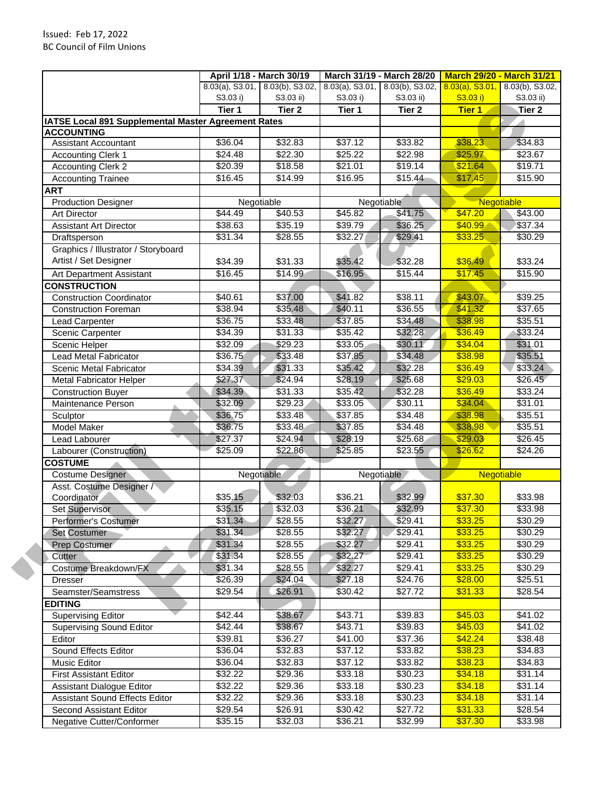|                                                     |                    | April 1/18 - March 30/19           | March 31/19 - March 28/20             |                     | <b>March 29/20 - March 31/21</b> |                    |
|-----------------------------------------------------|--------------------|------------------------------------|---------------------------------------|---------------------|----------------------------------|--------------------|
|                                                     |                    | $8.03(a)$ , S3.01, 8.03(b), S3.02, | $8.03(a)$ , S3.01, $8.03(b)$ , S3.02, |                     | $8.03(a)$ , S3.01,               | 8.03(b), S3.02,    |
|                                                     | S3.03 i)           | S3.03 ii)                          | S3.03 i)                              | S3.03 ii)           | S3.03 i)                         | S3.03 ii)          |
|                                                     | Tier 1             | Tier <sub>2</sub>                  | Tier 1                                | Tier <sub>2</sub>   | <b>Tier 1</b>                    | Tier <sub>2</sub>  |
| IATSE Local 891 Supplemental Master Agreement Rates |                    |                                    |                                       |                     |                                  |                    |
| <b>ACCOUNTING</b>                                   |                    |                                    |                                       |                     |                                  |                    |
| <b>Assistant Accountant</b>                         | \$36.04            | \$32.83                            | \$37.12                               | \$33.82             | \$38.23                          | \$34.83            |
| <b>Accounting Clerk 1</b>                           | $\sqrt{$24.48}$    | \$22.30                            | \$25.22                               | \$22.98             | \$25.97                          | \$23.67            |
| <b>Accounting Clerk 2</b>                           | \$20.39            | \$18.58                            | \$21.01<br>\$16.95                    | \$19.14             | \$21.64                          | \$19.71            |
| <b>Accounting Trainee</b>                           | \$16.45            | \$14.99                            |                                       | \$15.44             | \$17.45                          | \$15.90            |
| <b>ART</b>                                          |                    |                                    |                                       |                     |                                  |                    |
| <b>Production Designer</b>                          |                    | Negotiable                         | Negotiable                            |                     | Negotiable                       |                    |
| <b>Art Director</b>                                 | \$44.49            | \$40.53                            | \$45.82                               | \$41.75             | \$47.20                          | \$43.00            |
| <b>Assistant Art Director</b>                       | \$38.63            | \$35.19                            | \$39.79                               | \$36.25             | \$40.99                          | \$37.34            |
| Draftsperson                                        | \$31.34            | $\overline{$28.55}$                | \$32.27                               | \$29.41             | \$33.25                          | \$30.29            |
| Graphics / Illustrator / Storyboard                 |                    |                                    |                                       |                     |                                  |                    |
| Artist / Set Designer                               | \$34.39            | \$31.33                            | \$35.42                               | \$32.28             | \$36.49                          | \$33.24            |
| Art Department Assistant                            | \$16.45            | \$14.99                            | \$16.95                               | \$15.44             | \$17.45                          | \$15.90            |
| <b>CONSTRUCTION</b>                                 |                    |                                    |                                       |                     |                                  |                    |
| <b>Construction Coordinator</b>                     | \$40.61            | \$37.00                            | \$41.82                               | \$38.11             | \$43.07                          | 39.25              |
| <b>Construction Foreman</b>                         | \$38.94            | \$35.48                            | \$40.11                               | \$36.55             | \$41.32                          | \$37.65            |
| Lead Carpenter                                      | \$36.75            | \$33.48                            | \$37.85                               | \$34.48             | \$38.98                          | \$35.51            |
| Scenic Carpenter                                    | 334.39             | 331.33                             | 35.42                                 | \$32.28             | \$36.49                          | \$33.24            |
| Scenic Helper                                       | \$32.09            | \$29.23                            | \$33.05                               | \$30.11             | \$34.04                          | \$31.01            |
| <b>Lead Metal Fabricator</b>                        | \$36.75            | \$33.48                            | \$37.85                               | \$34.48             | \$38.98                          | \$35.51            |
| Scenic Metal Fabricator                             | 34.39              | \$31.33                            | \$35.42                               | \$32.28             | \$36.49                          | \$33,24            |
| <b>Metal Fabricator Helper</b>                      | \$27.37            | \$24.94                            | \$28.19                               | \$25.68             | \$29.03                          | \$26.45            |
| <b>Construction Buyer</b>                           | \$34.39            | \$31.33                            | \$35.42                               | \$32.28             | \$36.49                          | \$33.24            |
| Maintenance Person                                  | \$32.09            | $\sqrt{$29.23}$                    | \$33.05                               | \$30.11             | \$34.04                          | \$31.01            |
| Sculptor                                            | \$36.75            | \$33.48                            | \$37.85                               | 334.48              | \$38.98                          | \$35.51            |
| <b>Model Maker</b>                                  | \$36.75            | \$33.48                            | \$37.85                               | \$34.48             | \$38.98                          | \$35.51            |
| Lead Labourer                                       | \$27.37            | \$24.94                            | \$28.19                               | \$25.68             | \$29.03                          | \$26.45            |
| Labourer (Construction)                             | $\frac{1}{225.09}$ | \$22.86                            | \$25.85                               | \$23.55             | \$26.62                          | \$24.26            |
| <b>COSTUME</b>                                      |                    |                                    |                                       |                     |                                  |                    |
| Costume Designer                                    |                    | Negotiable                         | Negotiable                            |                     | <b>Negotiable</b>                |                    |
| Asst. Costume Designer /                            |                    |                                    |                                       |                     |                                  |                    |
| Coordinator                                         | \$35.15            | \$32.03                            | \$36.21                               | \$32.99             | \$37.30                          | \$33.98            |
| Set Supervisor                                      | \$35.15            | \$32.03                            | \$36.21                               | \$32.99             | \$37.30                          | \$33.98            |
| Performer's Costumer                                | \$31.34            |                                    |                                       |                     |                                  |                    |
|                                                     |                    | \$28.55                            | \$32.27                               | \$29.41             | \$33.25                          | \$30.29            |
| <b>Set Costumer</b>                                 | \$31.34            | \$28.55                            | \$32.27                               | \$29.41             | \$33.25                          | \$30.29            |
| Prep Costumer                                       | \$31.34            | \$28.55                            | \$32.27                               | \$29.41             | \$33.25                          | \$30.29            |
| Cutter                                              | \$31.34            | \$28.55                            | \$32.27                               | \$29.41             | \$33.25                          |                    |
| Costume Breakdown/FX                                | \$31.34            | \$28.55                            | \$32.27                               | \$29.41             | \$33.25                          | \$30.29<br>\$30.29 |
| <b>Dresser</b>                                      | \$26.39            | \$24.04                            | \$27.18                               | $\sqrt{$24.76}$     | \$28.00                          | \$25.51            |
| Seamster/Seamstress                                 | \$29.54            | \$26.91                            | \$30.42                               | \$27.72             | \$31.33                          |                    |
| <b>EDITING</b>                                      |                    |                                    |                                       |                     |                                  |                    |
| <b>Supervising Editor</b>                           | \$42.44            | \$38.67                            | \$43.71                               | \$39.83             | \$45.03                          | \$41.02            |
| <b>Supervising Sound Editor</b>                     | \$42.44            | \$38.67                            | \$43.71                               | $\overline{$}39.83$ | \$45.03                          | \$41.02            |
| Editor                                              | \$39.81            | \$36.27                            | \$41.00                               | \$37.36             | \$42.24                          | \$38.48            |
| Sound Effects Editor                                | \$36.04            | \$32.83                            | \$37.12                               | \$33.82             | \$38.23                          |                    |
| Music Editor                                        | \$36.04            | \$32.83                            | \$37.12                               | \$33.82             | \$38.23                          |                    |
| <b>First Assistant Editor</b>                       | \$32.22            | \$29.36                            | \$33.18                               | \$30.23             | \$34.18                          | \$34.83<br>\$31.14 |
| Assistant Dialogue Editor                           | \$32.22            | \$29.36                            | \$33.18                               | \$30.23             | \$34.18                          | \$31.14            |
| <b>Assistant Sound Effects Editor</b>               | \$32.22            | \$29.36                            | \$33.18                               | \$30.23             | \$34.18                          | \$34.83<br>\$31.14 |
| Second Assistant Editor                             | \$29.54            | \$26.91                            | \$30.42                               | \$27.72             | \$31.33                          | \$28.54<br>\$28.54 |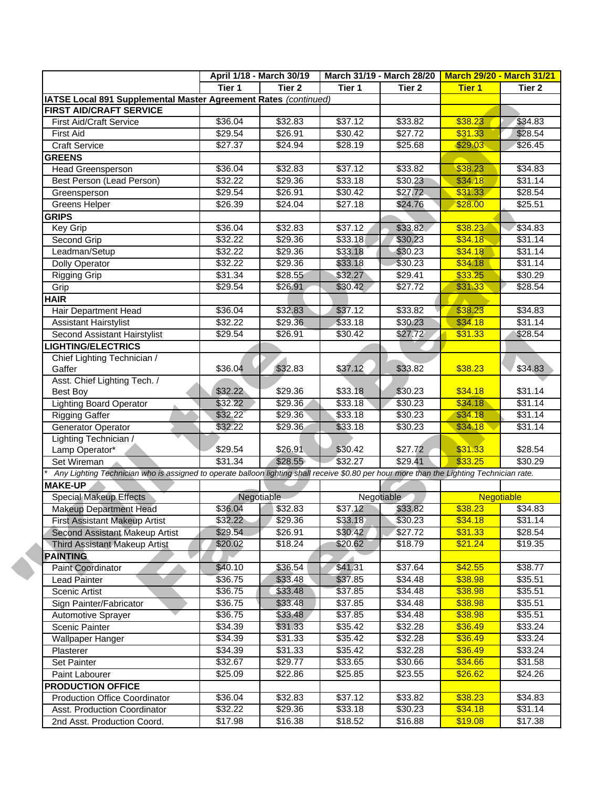|                                                                 | April 1/18 - March 30/19                                                                                                                                                                                     |                                                                                                                                                                                     | March 31/19 - March 28/20                                                                                                                                                    | <b>March 29/20 - March 31/21</b>                                                                                                                                                                                      |                                                                                                                                                                                                                                                                                                                           |
|-----------------------------------------------------------------|--------------------------------------------------------------------------------------------------------------------------------------------------------------------------------------------------------------|-------------------------------------------------------------------------------------------------------------------------------------------------------------------------------------|------------------------------------------------------------------------------------------------------------------------------------------------------------------------------|-----------------------------------------------------------------------------------------------------------------------------------------------------------------------------------------------------------------------|---------------------------------------------------------------------------------------------------------------------------------------------------------------------------------------------------------------------------------------------------------------------------------------------------------------------------|
| Tier 1                                                          | Tier <sub>2</sub>                                                                                                                                                                                            | Tier 1                                                                                                                                                                              | Tier 2                                                                                                                                                                       | <b>Tier 1</b>                                                                                                                                                                                                         | Tier <sub>2</sub>                                                                                                                                                                                                                                                                                                         |
| IATSE Local 891 Supplemental Master Agreement Rates (continued) |                                                                                                                                                                                                              |                                                                                                                                                                                     |                                                                                                                                                                              |                                                                                                                                                                                                                       |                                                                                                                                                                                                                                                                                                                           |
|                                                                 |                                                                                                                                                                                                              |                                                                                                                                                                                     |                                                                                                                                                                              |                                                                                                                                                                                                                       |                                                                                                                                                                                                                                                                                                                           |
| \$36.04                                                         | \$32.83                                                                                                                                                                                                      | \$37.12                                                                                                                                                                             | \$33.82                                                                                                                                                                      | \$38.23                                                                                                                                                                                                               | \$34.83                                                                                                                                                                                                                                                                                                                   |
|                                                                 |                                                                                                                                                                                                              |                                                                                                                                                                                     |                                                                                                                                                                              |                                                                                                                                                                                                                       | \$28.54                                                                                                                                                                                                                                                                                                                   |
|                                                                 |                                                                                                                                                                                                              |                                                                                                                                                                                     |                                                                                                                                                                              |                                                                                                                                                                                                                       | \$26.45                                                                                                                                                                                                                                                                                                                   |
|                                                                 |                                                                                                                                                                                                              |                                                                                                                                                                                     |                                                                                                                                                                              |                                                                                                                                                                                                                       |                                                                                                                                                                                                                                                                                                                           |
|                                                                 |                                                                                                                                                                                                              |                                                                                                                                                                                     |                                                                                                                                                                              |                                                                                                                                                                                                                       | \$34.83                                                                                                                                                                                                                                                                                                                   |
|                                                                 |                                                                                                                                                                                                              |                                                                                                                                                                                     |                                                                                                                                                                              |                                                                                                                                                                                                                       | \$31.14                                                                                                                                                                                                                                                                                                                   |
|                                                                 |                                                                                                                                                                                                              |                                                                                                                                                                                     |                                                                                                                                                                              |                                                                                                                                                                                                                       | \$28.54                                                                                                                                                                                                                                                                                                                   |
|                                                                 |                                                                                                                                                                                                              |                                                                                                                                                                                     |                                                                                                                                                                              |                                                                                                                                                                                                                       | \$25.51                                                                                                                                                                                                                                                                                                                   |
|                                                                 |                                                                                                                                                                                                              |                                                                                                                                                                                     |                                                                                                                                                                              |                                                                                                                                                                                                                       |                                                                                                                                                                                                                                                                                                                           |
|                                                                 |                                                                                                                                                                                                              |                                                                                                                                                                                     |                                                                                                                                                                              |                                                                                                                                                                                                                       | \$34.83                                                                                                                                                                                                                                                                                                                   |
|                                                                 |                                                                                                                                                                                                              |                                                                                                                                                                                     |                                                                                                                                                                              |                                                                                                                                                                                                                       | \$31.14                                                                                                                                                                                                                                                                                                                   |
|                                                                 |                                                                                                                                                                                                              |                                                                                                                                                                                     |                                                                                                                                                                              |                                                                                                                                                                                                                       | \$31.14                                                                                                                                                                                                                                                                                                                   |
|                                                                 | \$29.36                                                                                                                                                                                                      |                                                                                                                                                                                     |                                                                                                                                                                              | \$34.18                                                                                                                                                                                                               | \$31.14                                                                                                                                                                                                                                                                                                                   |
|                                                                 |                                                                                                                                                                                                              |                                                                                                                                                                                     |                                                                                                                                                                              |                                                                                                                                                                                                                       | \$30.29                                                                                                                                                                                                                                                                                                                   |
|                                                                 |                                                                                                                                                                                                              | \$30.42                                                                                                                                                                             |                                                                                                                                                                              | \$31.33                                                                                                                                                                                                               | $\sqrt{$28.54}$                                                                                                                                                                                                                                                                                                           |
|                                                                 |                                                                                                                                                                                                              |                                                                                                                                                                                     |                                                                                                                                                                              |                                                                                                                                                                                                                       |                                                                                                                                                                                                                                                                                                                           |
| \$36.04                                                         | \$32.83                                                                                                                                                                                                      | \$37.12                                                                                                                                                                             |                                                                                                                                                                              | \$38.23                                                                                                                                                                                                               | \$34.83                                                                                                                                                                                                                                                                                                                   |
| $\sqrt{$32.22}$                                                 | \$29.36                                                                                                                                                                                                      | \$33.18                                                                                                                                                                             | \$30.23                                                                                                                                                                      | \$34.18                                                                                                                                                                                                               | $\sqrt{$31.14}$                                                                                                                                                                                                                                                                                                           |
| \$29.54                                                         | \$26.91                                                                                                                                                                                                      | \$30.42                                                                                                                                                                             | \$27.72                                                                                                                                                                      | \$31.33                                                                                                                                                                                                               | \$28.54                                                                                                                                                                                                                                                                                                                   |
|                                                                 |                                                                                                                                                                                                              |                                                                                                                                                                                     |                                                                                                                                                                              |                                                                                                                                                                                                                       |                                                                                                                                                                                                                                                                                                                           |
|                                                                 |                                                                                                                                                                                                              |                                                                                                                                                                                     |                                                                                                                                                                              |                                                                                                                                                                                                                       |                                                                                                                                                                                                                                                                                                                           |
|                                                                 |                                                                                                                                                                                                              | \$37.12                                                                                                                                                                             | \$33.82                                                                                                                                                                      |                                                                                                                                                                                                                       | \$34.83                                                                                                                                                                                                                                                                                                                   |
|                                                                 |                                                                                                                                                                                                              |                                                                                                                                                                                     |                                                                                                                                                                              |                                                                                                                                                                                                                       |                                                                                                                                                                                                                                                                                                                           |
|                                                                 | \$29.36                                                                                                                                                                                                      |                                                                                                                                                                                     |                                                                                                                                                                              | \$34.18                                                                                                                                                                                                               | \$31.14                                                                                                                                                                                                                                                                                                                   |
|                                                                 |                                                                                                                                                                                                              |                                                                                                                                                                                     |                                                                                                                                                                              |                                                                                                                                                                                                                       | \$31.14                                                                                                                                                                                                                                                                                                                   |
|                                                                 |                                                                                                                                                                                                              |                                                                                                                                                                                     |                                                                                                                                                                              |                                                                                                                                                                                                                       | \$31.14                                                                                                                                                                                                                                                                                                                   |
|                                                                 | \$29.36                                                                                                                                                                                                      | \$33.18                                                                                                                                                                             |                                                                                                                                                                              |                                                                                                                                                                                                                       | \$31.14                                                                                                                                                                                                                                                                                                                   |
|                                                                 |                                                                                                                                                                                                              |                                                                                                                                                                                     |                                                                                                                                                                              |                                                                                                                                                                                                                       |                                                                                                                                                                                                                                                                                                                           |
|                                                                 |                                                                                                                                                                                                              |                                                                                                                                                                                     |                                                                                                                                                                              |                                                                                                                                                                                                                       | \$28.54                                                                                                                                                                                                                                                                                                                   |
|                                                                 |                                                                                                                                                                                                              |                                                                                                                                                                                     |                                                                                                                                                                              |                                                                                                                                                                                                                       | \$30.29                                                                                                                                                                                                                                                                                                                   |
|                                                                 |                                                                                                                                                                                                              |                                                                                                                                                                                     |                                                                                                                                                                              |                                                                                                                                                                                                                       |                                                                                                                                                                                                                                                                                                                           |
|                                                                 |                                                                                                                                                                                                              |                                                                                                                                                                                     |                                                                                                                                                                              |                                                                                                                                                                                                                       |                                                                                                                                                                                                                                                                                                                           |
| Negotiable                                                      |                                                                                                                                                                                                              |                                                                                                                                                                                     |                                                                                                                                                                              |                                                                                                                                                                                                                       |                                                                                                                                                                                                                                                                                                                           |
|                                                                 |                                                                                                                                                                                                              |                                                                                                                                                                                     | Negotiable                                                                                                                                                                   | <b>Negotiable</b>                                                                                                                                                                                                     |                                                                                                                                                                                                                                                                                                                           |
| \$36.04                                                         | \$32.83                                                                                                                                                                                                      | \$37.12                                                                                                                                                                             | \$33.82                                                                                                                                                                      | \$38.23                                                                                                                                                                                                               |                                                                                                                                                                                                                                                                                                                           |
| \$32.22                                                         | \$29.36                                                                                                                                                                                                      | \$33.18                                                                                                                                                                             | \$30.23                                                                                                                                                                      | \$34.18                                                                                                                                                                                                               |                                                                                                                                                                                                                                                                                                                           |
| \$29.54                                                         | \$26.91                                                                                                                                                                                                      | \$30.42                                                                                                                                                                             | \$27.72                                                                                                                                                                      | \$31.33                                                                                                                                                                                                               |                                                                                                                                                                                                                                                                                                                           |
| \$20.02                                                         | \$18.24                                                                                                                                                                                                      | \$20.62                                                                                                                                                                             | \$18.79                                                                                                                                                                      | \$21.24                                                                                                                                                                                                               |                                                                                                                                                                                                                                                                                                                           |
|                                                                 |                                                                                                                                                                                                              |                                                                                                                                                                                     |                                                                                                                                                                              |                                                                                                                                                                                                                       |                                                                                                                                                                                                                                                                                                                           |
| \$40.10                                                         | \$36.54                                                                                                                                                                                                      | \$41.31                                                                                                                                                                             | \$37.64                                                                                                                                                                      | \$42.55                                                                                                                                                                                                               |                                                                                                                                                                                                                                                                                                                           |
| \$36.75                                                         | \$33.48                                                                                                                                                                                                      | \$37.85                                                                                                                                                                             | \$34.48                                                                                                                                                                      | \$38.98                                                                                                                                                                                                               |                                                                                                                                                                                                                                                                                                                           |
| \$36.75                                                         | \$33.48                                                                                                                                                                                                      | \$37.85                                                                                                                                                                             | $\overline{$}34.48$                                                                                                                                                          | \$38.98                                                                                                                                                                                                               |                                                                                                                                                                                                                                                                                                                           |
| \$36.75                                                         | \$33.48                                                                                                                                                                                                      | \$37.85                                                                                                                                                                             | \$34.48                                                                                                                                                                      | \$38.98                                                                                                                                                                                                               |                                                                                                                                                                                                                                                                                                                           |
| \$36.75                                                         | \$33.48                                                                                                                                                                                                      | \$37.85                                                                                                                                                                             | \$34.48                                                                                                                                                                      | \$38.98                                                                                                                                                                                                               |                                                                                                                                                                                                                                                                                                                           |
| \$34.39                                                         | \$31.33                                                                                                                                                                                                      | \$35.42                                                                                                                                                                             | \$32.28                                                                                                                                                                      | \$36.49                                                                                                                                                                                                               |                                                                                                                                                                                                                                                                                                                           |
| \$34.39                                                         | \$31.33                                                                                                                                                                                                      | \$35.42                                                                                                                                                                             | \$32.28                                                                                                                                                                      | \$36.49                                                                                                                                                                                                               |                                                                                                                                                                                                                                                                                                                           |
| \$34.39                                                         |                                                                                                                                                                                                              |                                                                                                                                                                                     |                                                                                                                                                                              |                                                                                                                                                                                                                       |                                                                                                                                                                                                                                                                                                                           |
|                                                                 | \$31.33                                                                                                                                                                                                      | \$35.42                                                                                                                                                                             | \$32.28                                                                                                                                                                      | \$36.49                                                                                                                                                                                                               |                                                                                                                                                                                                                                                                                                                           |
| \$32.67                                                         | \$29.77                                                                                                                                                                                                      | \$33.65                                                                                                                                                                             | \$30.66                                                                                                                                                                      | \$34.66                                                                                                                                                                                                               |                                                                                                                                                                                                                                                                                                                           |
| \$25.09                                                         | \$22.86                                                                                                                                                                                                      | \$25.85                                                                                                                                                                             | \$23.55                                                                                                                                                                      | \$26.62                                                                                                                                                                                                               |                                                                                                                                                                                                                                                                                                                           |
|                                                                 |                                                                                                                                                                                                              |                                                                                                                                                                                     |                                                                                                                                                                              |                                                                                                                                                                                                                       |                                                                                                                                                                                                                                                                                                                           |
| \$36.04<br>\$32.22                                              | \$32.83<br>$\sqrt{$29.36}$                                                                                                                                                                                   | \$37.12<br>\$33.18                                                                                                                                                                  | \$33.82<br>$\overline{$}30.23$                                                                                                                                               | \$38.23<br>\$34.18                                                                                                                                                                                                    | \$34.83<br>\$31.14<br>\$28.54<br>\$19.35<br>\$38.77<br>\$35.51<br>\$35.51<br>\$35.51<br>\$35.51<br>\$33.24<br>\$33.24<br>\$33.24<br>\$31.58<br>\$24.26<br>$\overline{$}34.83$<br>\$31.14                                                                                                                                  |
|                                                                 | \$29.54<br>\$27.37<br>\$36.04<br>\$32.22<br>\$29.54<br>\$26.39<br>\$36.04<br>\$32.22<br>\$32.22<br>332.22<br>\$31.34<br>\$29.54<br>\$36.04<br>\$32.22<br>\$32.22<br>\$32.22<br>\$32.22<br>\$29.54<br>\$31.34 | \$26.91<br>\$24.94<br>\$32.83<br>$\sqrt{$29.36}$<br>\$26.91<br>\$24.04<br>332.83<br>\$29.36<br>\$29.36<br>\$28.55<br>\$26.91<br>\$32.83<br>\$29.36<br>\$29.36<br>\$26.91<br>\$28.55 | \$30.42<br>\$28.19<br>\$37.12<br>\$33.18<br>\$30.42<br>\$27.18<br>\$37.12<br>\$33.18<br>\$33.18<br>\$33.18<br>\$32.27<br>\$33.18<br>\$33.18<br>\$33.18<br>\$30.42<br>\$32.27 | \$27.72<br>\$25.68<br>\$33.82<br>\$30.23<br>\$27.72<br>\$24.76<br>\$33.82<br>\$30.23<br>\$30.23<br>\$30.23<br>\$29.41<br>$\sqrt{$27.72}$<br>\$33.82<br>\$30.23<br>\$30.23<br>\$30.23<br>\$30.23<br>\$27.72<br>\$29.41 | \$31.33<br>\$29.03<br>\$38.23<br>\$34.18<br>\$31.33<br>\$28.00<br>\$38.23<br>\$34.18<br>\$34.18<br>\$33.25<br>\$38.23<br>\$34.18<br>\$34.18<br>\$34.18<br>\$31.33<br>\$33.25<br>Any Lighting Technician who is assigned to operate balloon lighting shall receive \$0.80 per hour more than the Lighting Technician rate. |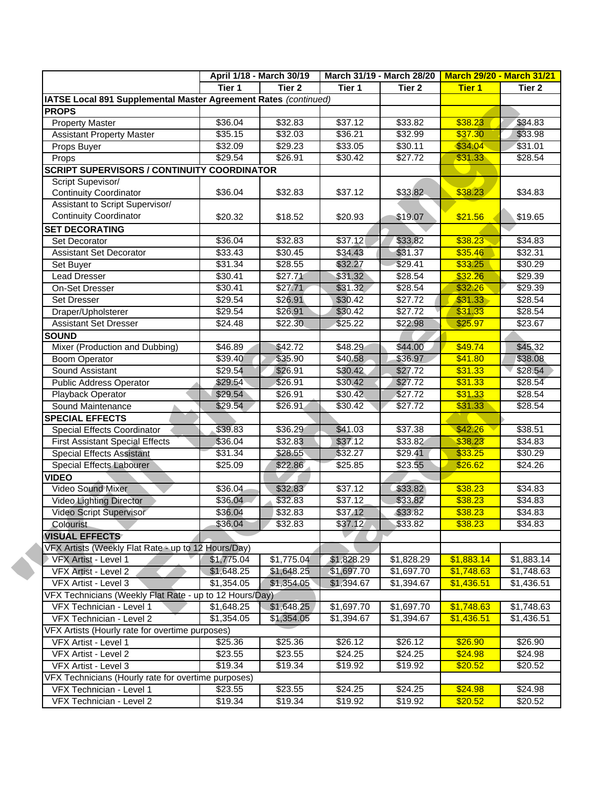|                                                                 |                     | April 1/18 - March 30/19 |                     | March 31/19 - March 28/20 | <b>March 29/20 - March 31/21</b> |                 |
|-----------------------------------------------------------------|---------------------|--------------------------|---------------------|---------------------------|----------------------------------|-----------------|
|                                                                 | Tier 1              | Tier <sub>2</sub>        | Tier 1              | Tier 2                    | <b>Tier 1</b>                    | Tier 2          |
| IATSE Local 891 Supplemental Master Agreement Rates (continued) |                     |                          |                     |                           |                                  |                 |
| <b>PROPS</b>                                                    |                     |                          |                     |                           |                                  |                 |
| <b>Property Master</b>                                          | \$36.04             | \$32.83                  | \$37.12             | \$33.82                   | \$38.23                          | \$34.83         |
| <b>Assistant Property Master</b>                                | \$35.15             | \$32.03                  | \$36.21             | \$32.99                   | \$37.30                          | \$33.98         |
| Props Buyer                                                     | 332.09              | $\sqrt{$29.23}$          | \$33.05             | \$30.11                   | \$34.04                          | \$31.01         |
| Props                                                           | \$29.54             | \$26.91                  | \$30.42             | \$27.72                   | \$31.33                          | \$28.54         |
| <b>SCRIPT SUPERVISORS / CONTINUITY COORDINATOR</b>              |                     |                          |                     |                           |                                  |                 |
| Script Supevisor/                                               |                     |                          |                     |                           |                                  |                 |
| <b>Continuity Coordinator</b>                                   | \$36.04             | \$32.83                  | \$37.12             | \$33.82                   | \$38.23                          | \$34.83         |
| Assistant to Script Supervisor/                                 |                     |                          |                     |                           |                                  |                 |
| <b>Continuity Coordinator</b>                                   | \$20.32             | \$18.52                  | \$20.93             | \$19.07                   | \$21.56                          | \$19.65         |
| <b>SET DECORATING</b>                                           |                     |                          |                     |                           |                                  |                 |
| Set Decorator                                                   | \$36.04             | \$32.83                  | \$37.12             | \$33.82                   | \$38.23                          | \$34.83         |
| <b>Assistant Set Decorator</b>                                  | \$33.43             | \$30.45                  | \$34.43             | \$31.37                   | \$35.46                          | \$32.31         |
| Set Buyer                                                       | \$31.34             | \$28.55                  | \$32.27             | \$29.41                   | \$33.25                          | \$30.29         |
| <b>Lead Dresser</b>                                             | \$30.41             | \$27.71                  | \$31.32             | \$28.54                   | \$32.26                          | \$29.39         |
| On-Set Dresser                                                  | \$30.41             | \$27.71                  | \$31.32             | \$28.54                   | \$32.26                          | $\sqrt{$29.39}$ |
| Set Dresser                                                     | \$29.54             | \$26.91                  | \$30.42             | \$27.72                   | \$31.33                          | \$28.54         |
| Draper/Upholsterer                                              | \$29.54             | \$26.91                  | \$30.42             | \$27.72                   | \$31.33                          | \$28.54         |
| <b>Assistant Set Dresser</b>                                    | \$24.48             | \$22.30                  | \$25.22             | \$22.98                   | \$25.97                          | \$23.67         |
| <b>SOUND</b>                                                    |                     |                          |                     |                           |                                  |                 |
| Mixer (Production and Dubbing)                                  | \$46.89             | \$42.72                  | \$48.29             | \$44.00                   | \$49.74                          | \$45.32         |
| <b>Boom Operator</b>                                            | \$39.40             | \$35.90                  | \$40.58             | \$36.97                   | \$41.80                          | \$38.08         |
| Sound Assistant                                                 | \$29.54             | \$26.91                  | \$30.42             | \$27.72                   | \$31.33                          | \$28.54         |
| Public Address Operator                                         | \$29.54             | \$26.91                  | \$30.42             | \$27.72                   | \$31.33                          | \$28.54         |
| Playback Operator                                               | \$29.54             | \$26.91                  | \$30.42             | \$27.72                   | \$31.33                          | \$28.54         |
| Sound Maintenance                                               | \$29.54             | \$26.91                  | \$30.42             | \$27.72                   | \$31.33                          | \$28.54         |
| <b>SPECIAL EFFECTS</b>                                          |                     |                          |                     |                           |                                  |                 |
| Special Effects Coordinator                                     | \$39.83             | \$36.29                  | \$41.03             | \$37.38                   | \$42.26                          | \$38.51         |
| <b>First Assistant Special Effects</b>                          | \$36.04             | \$32.83                  | \$37.12             | \$33.82                   | \$38.23                          | \$34.83         |
| <b>Special Effects Assistant</b>                                | \$31.34             | \$28.55                  | \$32.27             | \$29.41                   | \$33.25                          | \$30.29         |
| Special Effects Labourer                                        | \$25.09             | \$22.86                  | $\overline{$}25.85$ | \$23.55                   | \$26.62                          | \$24.26         |
| <b>VIDEO</b>                                                    |                     |                          |                     |                           |                                  |                 |
| <b>Video Sound Mixer</b>                                        | \$36.04             | \$32.83                  | \$37.12             | \$33.82                   | \$38.23                          | \$34.83         |
| Video Lighting Director                                         | \$36.04             | \$32.83                  | 337.12              | \$33.82                   | \$38.23                          | $\sqrt{$34.83}$ |
| Video Script Supervisor                                         | \$36.04             | \$32.83                  | \$37.12             | \$33.82                   | \$38.23                          | \$34.83         |
| <b>Colourist</b>                                                | \$36.04             | \$32.83                  | \$37.12             | \$33.82                   | \$38.23                          | \$34.83         |
| <b>VISUAL EFFECTS</b>                                           |                     |                          |                     |                           |                                  |                 |
| VFX Artists (Weekly Flat Rate - up to 12 Hours/Day)             |                     |                          |                     |                           |                                  |                 |
| VFX Artist - Level 1                                            | \$1,775.04          | \$1,775.04               | \$1,828.29          | \$1,828.29                | \$1,883.14                       | \$1,883.14      |
| VFX Artist - Level 2                                            | \$1,648.25          | \$1,648.25               | \$1,697.70          | \$1,697.70                | \$1,748.63                       | \$1,748.63      |
| VFX Artist - Level 3                                            | \$1,354.05          | \$1,354.05               | \$1,394.67          | \$1,394.67                | \$1,436.51                       | \$1,436.51      |
| VFX Technicians (Weekly Flat Rate - up to 12 Hours/Day)         |                     |                          |                     |                           |                                  |                 |
| VFX Technician - Level 1                                        | \$1,648.25          | \$1,648.25               | \$1,697.70          | \$1,697.70                | \$1,748.63                       | \$1,748.63      |
| VFX Technician - Level 2                                        | \$1,354.05          | \$1,354.05               | \$1,394.67          | \$1,394.67                | \$1,436.51                       | \$1,436.51      |
| VFX Artists (Hourly rate for overtime purposes)                 |                     |                          |                     |                           |                                  |                 |
| VFX Artist - Level 1                                            | \$25.36             | \$25.36                  | \$26.12             | \$26.12                   | \$26.90                          | \$26.90         |
| VFX Artist - Level 2                                            | $\overline{$}23.55$ | \$23.55                  | \$24.25             | \$24.25                   | \$24.98                          | \$24.98         |
| VFX Artist - Level 3                                            | \$19.34             | \$19.34                  | \$19.92             | \$19.92                   | \$20.52                          | \$20.52         |
| VFX Technicians (Hourly rate for overtime purposes)             |                     |                          |                     |                           |                                  |                 |
| VFX Technician - Level 1                                        | \$23.55             | \$23.55                  | \$24.25             | \$24.25                   | \$24.98                          | \$24.98         |
|                                                                 |                     |                          |                     |                           | \$20.52                          |                 |
| VFX Technician - Level 2                                        | \$19.34             | \$19.34                  | \$19.92             | \$19.92                   |                                  | \$20.52         |